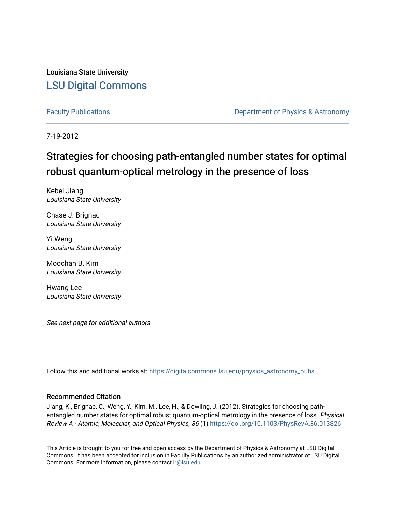Louisiana State University [LSU Digital Commons](https://digitalcommons.lsu.edu/)

[Faculty Publications](https://digitalcommons.lsu.edu/physics_astronomy_pubs) **Exercise 2 and Table 2 and Table 2 and Table 2 and Table 2 and Table 2 and Table 2 and Table 2 and Table 2 and Table 2 and Table 2 and Table 2 and Table 2 and Table 2 and Table 2 and Table 2 and Table** 

7-19-2012

# Strategies for choosing path-entangled number states for optimal robust quantum-optical metrology in the presence of loss

Kebei Jiang Louisiana State University

Chase J. Brignac Louisiana State University

Yi Weng Louisiana State University

Moochan B. Kim Louisiana State University

Hwang Lee Louisiana State University

See next page for additional authors

Follow this and additional works at: [https://digitalcommons.lsu.edu/physics\\_astronomy\\_pubs](https://digitalcommons.lsu.edu/physics_astronomy_pubs?utm_source=digitalcommons.lsu.edu%2Fphysics_astronomy_pubs%2F3123&utm_medium=PDF&utm_campaign=PDFCoverPages) 

## Recommended Citation

Jiang, K., Brignac, C., Weng, Y., Kim, M., Lee, H., & Dowling, J. (2012). Strategies for choosing pathentangled number states for optimal robust quantum-optical metrology in the presence of loss. Physical Review A - Atomic, Molecular, and Optical Physics, 86 (1) <https://doi.org/10.1103/PhysRevA.86.013826>

This Article is brought to you for free and open access by the Department of Physics & Astronomy at LSU Digital Commons. It has been accepted for inclusion in Faculty Publications by an authorized administrator of LSU Digital Commons. For more information, please contact [ir@lsu.edu](mailto:ir@lsu.edu).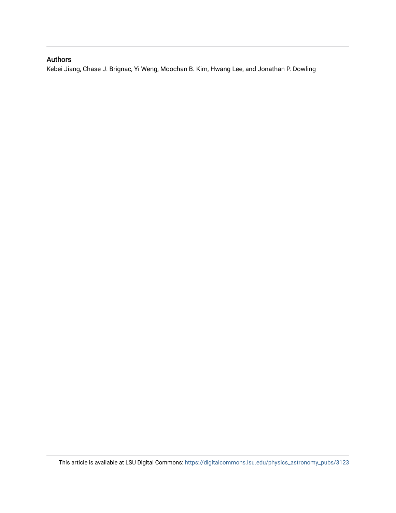# Authors

Kebei Jiang, Chase J. Brignac, Yi Weng, Moochan B. Kim, Hwang Lee, and Jonathan P. Dowling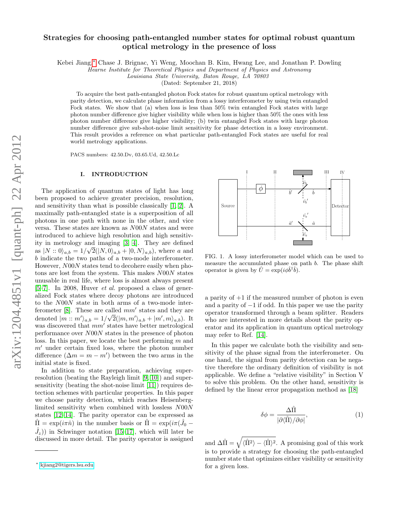## Strategies for choosing path-entangled number states for optimal robust quantum optical metrology in the presence of loss

Kebei Jiang,[∗](#page-2-0) Chase J. Brignac, Yi Weng, Moochan B. Kim, Hwang Lee, and Jonathan P. Dowling

Hearne Institute for Theoretical Physics and Department of Physics and Astronomy

Louisiana State University, Baton Rouge, LA 70803

(Dated: September 21, 2018)

To acquire the best path-entangled photon Fock states for robust quantum optical metrology with parity detection, we calculate phase information from a lossy interferometer by using twin entangled Fock states. We show that (a) when loss is less than 50% twin entangled Fock states with large photon number difference give higher visibility while when loss is higher than 50% the ones with less photon number difference give higher visibility; (b) twin entangled Fock states with large photon number difference give sub-shot-noise limit sensitivity for phase detection in a lossy environment. This result provides a reference on what particular path-entangled Fock states are useful for real world metrology applications.

PACS numbers: 42.50.Dv, 03.65.Ud, 42.50.Lc

#### I. INTRODUCTION

The application of quantum states of light has long been proposed to achieve greater precision, resolution, and sensitivity than what is possible classically [\[1,](#page-7-0) [2\]](#page-7-1). A maximally path-entangled state is a superposition of all photons in one path with none in the other, and vice versa. These states are known as N00N states and were introduced to achieve high resolution and high sensitivity in metrology and imaging [\[3,](#page-7-2) [4\]](#page-7-3). They are defined as  $|N:: 0\rangle_{a,b} = 1/\sqrt{2}(|N, 0\rangle_{a,b} + |0, N\rangle_{a,b})$ , where a and b indicate the two paths of a two-mode interferometer. However, N00N states tend to decohere easily when photons are lost from the system. This makes N00N states unusable in real life, where loss is almost always present  $[5–7]$  $[5–7]$ . In 2008, Huver *et al.* proposed a class of generalized Fock states where decoy photons are introduced to the N00N state in both arms of a two-mode interferometer  $[8]$ . These are called  $mm'$  states and they are denoted  $|m::m'\rangle_{a,b} = 1/\sqrt{2}(|m,m'\rangle_{a,b} + |m',m\rangle_{a,b})$ . It was discovered that  $mm'$  states have better metrological performance over N00N states in the presence of photon loss. In this paper, we locate the best performing m and  $m'$  under certain fixed loss, where the photon number difference  $(\Delta m = m - m')$  between the two arms in the initial state is fixed.

In addition to state preparation, achieving superresolution (beating the Rayleigh limit [\[9,](#page-7-7) [10\]](#page-7-8)) and supersensitivity (beating the shot-noise limit [\[11\]](#page-7-9)) requires detection schemes with particular properties. In this paper we choose parity detection, which reaches Heisenberglimited sensitivity when combined with lossless N00N states [\[12](#page-7-10)[–14\]](#page-7-11). The parity operator can be expressed as  $\hat{\Pi} = \exp(i\pi \hat{n})$  in the number basis or  $\hat{\Pi} = \exp(i\pi (\hat{J}_0 (\hat{J}_z)$  in Schwinger notation [\[15](#page-7-12)[–17\]](#page-7-13), which will later be discussed in more detail. The parity operator is assigned



<span id="page-2-1"></span>FIG. 1. A lossy interferometer model which can be used to measure the accumulated phase on path b. The phase shift operator is given by  $\hat{U} = \exp(i\phi \hat{b}^{\dagger} \hat{b}).$ 

a parity of  $+1$  if the measured number of photon is even and a parity of  $-1$  if odd. In this paper we use the parity operator transformed through a beam splitter. Readers who are interested in more details about the parity operator and its application in quantum optical metrology may refer to Ref. [\[14\]](#page-7-11).

In this paper we calculate both the visibility and sensitivity of the phase signal from the interferometer. On one hand, the signal from parity detection can be negative therefore the ordinary definition of visibility is not applicable. We define a "relative visibility" in Section V to solve this problem. On the other hand, sensitivity is defined by the linear error propagation method as [\[18\]](#page-7-14)

<span id="page-2-2"></span>
$$
\delta \phi = \frac{\Delta \hat{\Pi}}{|\partial \langle \hat{\Pi} \rangle / \partial \phi|},\tag{1}
$$

and  $\Delta \hat{\Pi} = \sqrt{\langle \hat{\Pi}^2 \rangle - \langle \hat{\Pi} \rangle^2}$ . A promising goal of this work is to provide a strategy for choosing the path-entangled number state that optimizes either visibility or sensitivity for a given loss.

<span id="page-2-0"></span><sup>∗</sup> [kjiang2@tigers.lsu.edu](mailto:kjiang2@tigers.lsu.edu)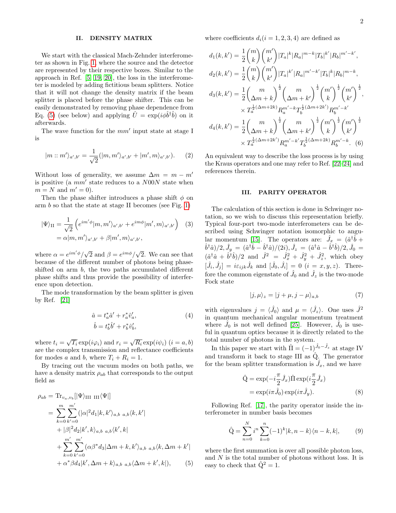#### II. DENSITY MATRIX

We start with the classical Mach-Zehnder interferometer as shown in Fig. [1,](#page-2-1) where the source and the detector are represented by their respective boxes. Similar to the approach in Ref. [\[5,](#page-7-4) [19,](#page-7-15) [20\]](#page-7-16), the loss in the interferometer is modeled by adding fictitious beam splitters. Notice that it will not change the density matrix if the beam splitter is placed before the phase shifter. This can be easily demonstrated by removing phase dependence from Eq. [\(5\)](#page-3-0) (see below) and applying  $\hat{U} = \exp(i\phi \hat{b}^{\dagger} \hat{b})$  on it afterwards.

The wave function for the  $mm'$  input state at stage I is

$$
|m::m'\rangle_{a',b'} = \frac{1}{\sqrt{2}}(|m,m'\rangle_{a',b'} + |m',m\rangle_{a',b'}).
$$
 (2)

Without loss of generality, we assume  $\Delta m = m - m'$ is positive (a  $mm'$  state reduces to a  $N00N$  state when  $m = N$  and  $m' = 0$ ).

Then the phase shifter introduces a phase shift  $\phi$  on arm  $b$  so that the state at stage II becomes (see Fig. [1\)](#page-2-1)

$$
|\Psi\rangle_{II} = \frac{1}{\sqrt{2}} \left( e^{im'\phi} |m, m'\rangle_{a', b'} + e^{im\phi} |m', m\rangle_{a', b'} \right) \quad (3)
$$

$$
= \alpha |m, m'\rangle_{a', b'} + \beta |m', m\rangle_{a', b'},
$$

where  $\alpha = e^{im' \phi}/\sqrt{2}$  and  $\beta = e^{im \phi}/\sqrt{2}$ . We can see that because of the different number of photons being phaseshifted on arm b, the two paths accumulated different phase shifts and thus provide the possibility of interference upon detection.

The mode transformation by the beam splitter is given by Ref. [\[21\]](#page-7-17)

$$
\hat{a} = t_a^* \hat{a}' + r_a^* \hat{v}_a', \n\hat{b} = t_b^* \hat{b}' + r_b^* \hat{v}_b',
$$
\n(4)

where  $t_i = \sqrt{T_i} \exp(i\varphi_i)$  and  $r_i = \sqrt{R_i} \exp(i\psi_i)$   $(i = a, b)$ are the complex transmission and reflectance coefficients for modes a and b, where  $T_i + R_i = 1$ .

By tracing out the vacuum modes on both paths, we have a density matrix  $\rho_{ab}$  that corresponds to the output field as

$$
\rho_{ab} = \text{Tr}_{v_a, v_b} [|\Psi\rangle_{\text{III III}} \langle \Psi|]
$$
  
\n
$$
= \sum_{k=0}^{m} \sum_{k'=0}^{m'} (|\alpha|^2 d_1 |k, k'\rangle_{a,b} a_{,b} \langle k, k'|
$$
  
\n
$$
+ |\beta|^2 d_2 |k', k\rangle_{a,b} a_{,b} \langle k', k|
$$
  
\n
$$
+ \sum_{k=0}^{m'} \sum_{k'=0}^{m'} (\alpha \beta^* d_3 | \Delta m + k, k'\rangle_{a,b} a_{,b} \langle k, \Delta m + k'|
$$
  
\n
$$
+ \alpha^* \beta d_4 |k', \Delta m + k\rangle_{a,b} a_{,b} \langle \Delta m + k', k|), \qquad (5)
$$

where coefficients  $d_i(i = 1, 2, 3, 4)$  are defined as

$$
d_1(k, k') = \frac{1}{2} {m \choose k} {m' \choose k'} |T_a|^k |R_a|^{m-k} |T_b|^{k'} |R_b|^{m'-k'},
$$
  
\n
$$
d_2(k, k') = \frac{1}{2} {m \choose k} {m' \choose k'} |T_a|^k |R_a|^{m'-k'} |T_b|^k |R_b|^{m-k},
$$
  
\n
$$
d_3(k, k') = \frac{1}{2} {m \choose \Delta m + k}^{\frac{1}{2}} {m \choose \Delta m + k'}^{\frac{1}{2}} {m' \choose k}^{\frac{1}{2}} {m' \choose k'}^{\frac{1}{2}},
$$
  
\n
$$
\times T_a^{\frac{1}{2}(\Delta m + 2k)} R_a^{m'-k} T_b^{\frac{1}{2}(\Delta m + 2k')} R_b^{m'-k'}
$$
  
\n
$$
d_4(k, k') = \frac{1}{2} {m \choose \Delta m + k}^{\frac{1}{2}} {m \choose \Delta m + k'}^{\frac{1}{2}} {m' \choose k}^{\frac{1}{2}} {m' \choose k'}^{\frac{1}{2}}
$$
  
\n
$$
\times T_a^{\frac{1}{2}(\Delta m + 2k')} R_a^{m'-k'} T_b^{\frac{1}{2}(\Delta m + 2k)} R_b^{m'-k}.
$$
 (6)

An equivalent way to describe the loss process is by using the Kraus operators and one may refer to Ref. [\[22–](#page-7-18)[24\]](#page-7-19) and references therein.

#### III. PARITY OPERATOR

The calculation of this section is done in Schwinger notation, so we wish to discuss this representation briefly. Typical four-port two-mode interferometers can be described using Schwinger notation isomorphic to angu-lar momentum [\[15\]](#page-7-12). The operators are:  $\hat{J}_x = (\hat{a}^\dagger \hat{b} +$  ${}^{\hat{b}^{\dagger}\hat{a})/2,\hat{J}_{y}}= (\hat{a}^{\dagger}\hat{b}-\hat{b}^{\dagger}\hat{a})/(2i),\hat{J}_{z}= (\hat{a}^{\dagger}\hat{a}-\hat{b}^{\dagger}\hat{b})/2,\hat{J}_{0}=0$  $(\hat{a}^\dagger \hat{a} + \hat{b}^\dagger \hat{b})/2$  and  $\hat{J}^2 = \hat{J}_x^2 + \hat{J}_y^2 + \hat{J}_z^2$ , which obey  $[\hat{J}_i, \hat{J}_j] = i\varepsilon_{ijk}\hat{J}_k$  and  $[\hat{J}_0, \hat{J}_i] = 0$   $(i = x, y, z)$ . Therefore the common eigenstate of  $\hat{J}_0$  and  $\hat{J}_z$  is the two-mode Fock state

$$
|j,\mu\rangle_z = |j+\mu,j-\mu\rangle_{a,b} \tag{7}
$$

with eigenvalues  $j = \langle \hat{J}_0 \rangle$  and  $\mu = \langle \hat{J}_z \rangle$ . One uses  $\hat{J}^2$ in quantum mechanical angular momentum treatment where  $\hat{J}_0$  is not well defined [\[25\]](#page-7-20). However,  $\hat{J}_0$  is useful in quantum optics because it is directly related to the total number of photons in the system.

In this paper we start with  $\hat{\Pi} = (-1)^{\hat{J}_0 - \hat{J}_z}$  at stage IV and transform it back to stage III as  $\hat{Q}$ . The generator for the beam splitter transformation is  $\hat{J}_x$ , and we have

$$
\hat{Q} = \exp(-i\frac{\pi}{2}\hat{J}_x)\hat{\Pi}\exp(i\frac{\pi}{2}\hat{J}_x)
$$

$$
= \exp(i\pi\hat{J}_0)\exp(i\pi\hat{J}_y).
$$
(8)

Following Ref. [\[17\]](#page-7-13), the parity operator inside the interferometer in number basis becomes

$$
\hat{Q} = \sum_{n=0}^{N} i^{n} \sum_{k=0}^{n} (-1)^{k} |k, n - k\rangle\langle n - k, k|,
$$
 (9)

<span id="page-3-0"></span>where the first summation is over all possible photon loss, and N is the total number of photons without loss. It is easy to check that  $\hat{Q}^2 = 1$ .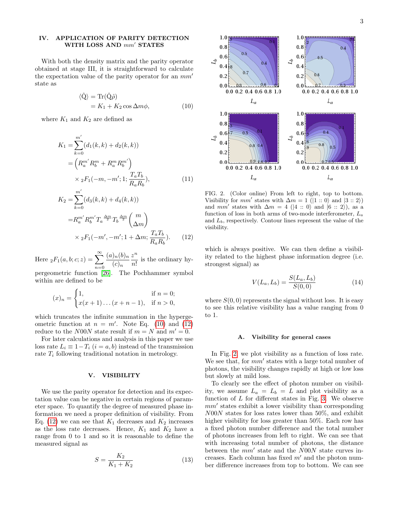#### IV. APPLICATION OF PARITY DETECTION WITH LOSS AND  $mm'$  STATES

With both the density matrix and the parity operator obtained at stage III, it is straightforward to calculate the expectation value of the parity operator for an  $mm'$ state as

$$
\langle \hat{Q} \rangle = \text{Tr}(\hat{Q}\hat{\rho})
$$
  
=  $K_1 + K_2 \cos \Delta m \phi$ , (10)

where  $K_1$  and  $K_2$  are defined as

$$
K_1 = \sum_{k=0}^{m'} (d_1(k, k) + d_2(k, k))
$$
  
=  $\left(R_a^{m'} R_b^m + R_a^m R_b^{m'}\right)$   
 $\times {}_2F_1(-m, -m'; 1; \frac{T_a T_b}{R_a R_b}),$  (11)

$$
K_2 = \sum_{k=0}^{m'} (d_3(k, k) + d_4(k, k))
$$
  
=  $R_a^{m'} R_b^{m'} T_a \frac{\Delta_m}{2} T_b \frac{\Delta_m}{2} {m \choose \Delta_m}$   
×  ${}_2F_1(-m', -m'; 1 + \Delta_m; \frac{T_a T_b}{R_a R_b}).$  (12)

Here  ${}_2F_1(a, b; c; z) = \sum_{n=0}^{\infty}$  $n=0$  $(a)_n(b)_n$  $(c)_n$  $z^n$  $\frac{\infty}{n!}$  is the ordinary hy-

pergeometric function [\[26\]](#page-7-21). The Pochhammer symbol within are defined to be

$$
(x)_n = \begin{cases} 1, & \text{if } n = 0; \\ x(x+1)\dots(x+n-1), & \text{if } n > 0, \end{cases}
$$

which truncates the infinite summation in the hypergeometric function at  $n = m'$ . Note Eq. [\(10\)](#page-4-0) and [\(12\)](#page-4-1) reduce to the N00N state result if  $m = N$  and  $m' = 0$ .

For later calculations and analysis in this paper we use loss rate  $L_i \equiv 1 - T_i$   $(i = a, b)$  instead of the transmission rate  $T_i$  following traditional notation in metrology.

#### V. VISIBILITY

We use the parity operator for detection and its expectation value can be negative in certain regions of parameter space. To quantify the degree of measured phase information we need a proper definition of visibility. From Eq. [\(12\)](#page-4-1) we can see that  $K_1$  decreases and  $K_2$  increases as the loss rate decreases. Hence,  $K_1$  and  $K_2$  have a range from 0 to 1 and so it is reasonable to define the measured signal as

$$
S = \frac{K_2}{K_1 + K_2} \tag{13}
$$

<span id="page-4-0"></span>

<span id="page-4-2"></span>FIG. 2. (Color online) From left to right, top to bottom. Visibility for  $mm'$  states with  $\Delta m = 1$  ( $|1::0\rangle$  and  $|3::2\rangle$ ) and mm' states with  $\Delta m = 4$  (|4 :: 0) and  $|6$  :: 2), as a function of loss in both arms of two-mode interferometer,  $L_a$ and  $L_b$ , respectively. Contour lines represent the value of the visibility.

<span id="page-4-1"></span>which is always positive. We can then define a visibility related to the highest phase information degree (i.e. strongest signal) as

<span id="page-4-3"></span>
$$
V(L_a, L_b) = \frac{S(L_a, L_b)}{S(0, 0)}
$$
(14)

where  $S(0,0)$  represents the signal without loss. It is easy to see this relative visibility has a value ranging from 0 to 1.

#### A. Visibility for general cases

In Fig. [2,](#page-4-2) we plot visibility as a function of loss rate. We see that, for  $mm'$  states with a large total number of photons, the visibility changes rapidly at high or low loss but slowly at mild loss.

To clearly see the effect of photon number on visibility, we assume  $L_a = L_b = L$  and plot visibility as a function of  $L$  for different states in Fig. [3.](#page-5-0) We observe  $mm'$  states exhibit a lower visibility than corresponding N00N states for loss rates lower than 50%, and exhibit higher visibility for loss greater than 50%. Each row has a fixed photon number difference and the total number of photons increases from left to right. We can see that with increasing total number of photons, the distance between the  $mm'$  state and the  $N00N$  state curves increases. Each column has fixed  $m'$  and the photon number difference increases from top to bottom. We can see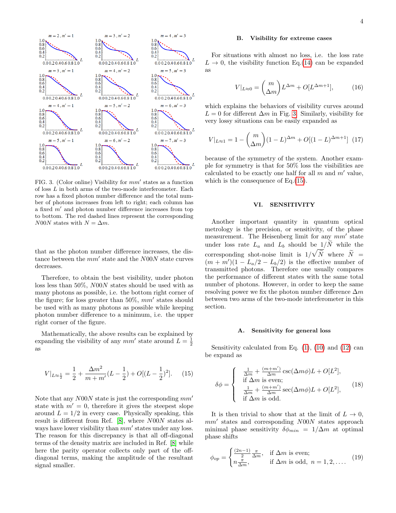

<span id="page-5-0"></span>FIG. 3. (Color online) Visibility for  $mm'$  states as a function of loss  $L$  in both arms of the two-mode interferometer. Each row has a fixed photon number difference and the total number of photons increases from left to right; each column has a fixed  $m'$  and photon number difference increases from top to bottom. The red dashed lines represent the corresponding N00N states with  $N = \Delta m$ .

that as the photon number difference increases, the distance between the  $mm'$  state and the  $N00N$  state curves decreases.

Therefore, to obtain the best visibility, under photon loss less than 50%, N00N states should be used with as many photons as possible, i.e. the bottom right corner of the figure; for loss greater than  $50\%, \, mm'$  states should be used with as many photons as possible while keeping photon number difference to a minimum, i.e. the upper right corner of the figure.

Mathematically, the above results can be explained by expanding the visibility of any  $mm'$  state around  $L = \frac{1}{2}$ as

$$
V|_{L\approx \frac{1}{2}} = \frac{1}{2} + \frac{\Delta m^2}{m+m'}(L - \frac{1}{2}) + O[(L - \frac{1}{2})^2].
$$
 (15)

Note that any  $N00N$  state is just the corresponding  $mm'$ state with  $m' = 0$ , therefore it gives the steepest slope around  $L = 1/2$  in every case. Physically speaking, this result is different from Ref. [\[8\]](#page-7-6), where N00N states always have lower visibility than  $mm'$  states under any loss. The reason for this discrepancy is that all off-diagonal terms of the density matrix are included in Ref. [\[8\]](#page-7-6) while here the parity operator collects only part of the offdiagonal terms, making the amplitude of the resultant signal smaller.

#### B. Visibility for extreme cases

For situations with almost no loss, i.e. the loss rate  $L \rightarrow 0$ , the visibility function Eq.[\(14\)](#page-4-3) can be expanded as

$$
V|_{L\approx 0} = \binom{m}{\Delta m} L^{\Delta m} + O[L^{\Delta m + 1}],\tag{16}
$$

which explains the behaviors of visibility curves around  $L = 0$  for different  $\Delta m$  in Fig. [3.](#page-5-0) Similarly, visibility for very lossy situations can be easily expanded as

$$
V|_{L\approx 1} = 1 - {m \choose \Delta m} (1 - L)^{\Delta m} + O[(1 - L)^{\Delta m + 1}] \tag{17}
$$

because of the symmetry of the system. Another example for symmetry is that for 50% loss the visibilities are calculated to be exactly one half for all  $m$  and  $m'$  value, which is the consequence of Eq.[\(15\)](#page-5-1).

#### VI. SENSITIVITY

Another important quantity in quantum optical metrology is the precision, or sensitivity, of the phase measurement. The Heisenberg limit for any  $mm'$  state under loss rate  $L_a$  and  $L_b$  should be  $1/\tilde{N}$  while the corresponding shot-noise limit is  $1/\sqrt{\tilde{N}}$  where  $\tilde{N} =$  $(m + m')(1 - L_a/2 - L_b/2)$  is the effective number of transmitted photons. Therefore one usually compares the performance of different states with the same total number of photons. However, in order to keep the same resolving power we fix the photon number difference  $\Delta m$ between two arms of the two-mode interferometer in this section.

#### A. Sensitivity for general loss

<span id="page-5-1"></span>Sensitivity calculated from Eq.  $(1)$ ,  $(10)$  and  $(12)$  can be expand as

$$
\delta\phi = \begin{cases}\n\frac{1}{\Delta m} + \frac{(m+m')}{\Delta m} \csc(\Delta m\phi)L + O[L^2],\\
\text{if } \Delta m \text{ is even};\\
\frac{1}{\Delta m} + \frac{(m+m')}{\Delta m} \sec(\Delta m\phi)L + O[L^2],\\
\text{if } \Delta m \text{ is odd}.\n\end{cases}
$$
\n(18)

It is then trivial to show that at the limit of  $L \to 0$ ,  $mm'$  states and corresponding  $N00N$  states approach minimal phase sensitivity  $\delta \phi_{min} = 1/\Delta m$  at optimal phase shifts

$$
\phi_{op} = \begin{cases} \frac{(2n-1)}{2} \frac{\pi}{\Delta m}, & \text{if } \Delta m \text{ is even;}\\ n \frac{\pi}{\Delta m}, & \text{if } \Delta m \text{ is odd}, \ n = 1, 2, \dots \end{cases} \tag{19}
$$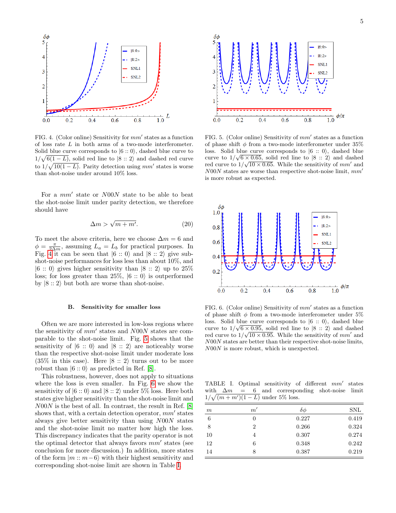

<span id="page-6-0"></span>FIG. 4. (Color online) Sensitivity for  $mm'$  states as a function of loss rate L in both arms of a two-mode interferometer. Solid blue curve corresponds to  $|6::0\rangle$ , dashed blue curve to  $1/\sqrt{6(1-L)}$ , solid red line to  $|8::2\rangle$  and dashed red curve to  $1/\sqrt{10(1-L)}$ . Parity detection using mm' states is worse than shot-noise under around 10% loss.

For a  $mm'$  state or  $N00N$  state to be able to beat the shot-noise limit under parity detection, we therefore should have

$$
\Delta m > \sqrt{m + m'}.\tag{20}
$$

To meet the above criteria, here we choose  $\Delta m = 6$  and  $\phi = \frac{\pi}{2\Delta m}$ , assuming  $L_a = L_b$  for practical purposes. In Fig. [4](#page-6-0) it can be seen that  $|6::0\rangle$  and  $|8::2\rangle$  give subshot-noise performances for loss less than about 10%, and  $|6::0\rangle$  gives higher sensitivity than  $|8::2\rangle$  up to  $25\%$ loss; for loss greater than 25\%,  $|6::0\rangle$  is outperformed by  $|8::2\rangle$  but both are worse than shot-noise.

#### B. Sensitivity for smaller loss

Often we are more interested in low-loss regions where the sensitivity of  $mm'$  states and  $N00N$  states are comparable to the shot-noise limit. Fig. [5](#page-6-1) shows that the sensitivity of  $|6::0\rangle$  and  $|8::2\rangle$  are noticeably worse than the respective shot-noise limit under moderate loss  $(35\%$  in this case). Here  $|8::2\rangle$  turns out to be more robust than  $|6::0\rangle$  as predicted in Ref. [\[8\]](#page-7-6).

This robustness, however, does not apply to situations where the loss is even smaller. In Fig. [6](#page-6-2) we show the sensitivity of  $|6::0\rangle$  and  $|8::2\rangle$  under 5% loss. Here both states give higher sensitivity than the shot-noise limit and N00N is the best of all. In contrast, the result in Ref. [\[8\]](#page-7-6) shows that, with a certain detection operator,  $mm'$  states always give better sensitivity than using N00N states and the shot-noise limit no matter how high the loss. This discrepancy indicates that the parity operator is not the optimal detector that always favors  $mm'$  states (see conclusion for more discussion.) In addition, more states of the form  $|m:: m-6\rangle$  with their highest sensitivity and corresponding shot-noise limit are shown in Table [I.](#page-6-3)



<span id="page-6-1"></span>FIG. 5. (Color online) Sensitivity of  $mm'$  states as a function of phase shift  $\phi$  from a two-mode interferometer under 35% loss. Solid blue curve corresponds to  $|6::0\rangle$ , dashed blue curve to  $1/\sqrt{6 \times 0.65}$ , solid red line to  $|8::2\rangle$  and dashed red curve to  $1/\sqrt{10 \times 0.65}$ . While the sensitivity of  $mm'$  and  $N00N$  states are worse than respective shot-noise limit,  $mm'$ is more robust as expected.



<span id="page-6-2"></span>FIG. 6. (Color online) Sensitivity of  $mm'$  states as a function of phase shift  $\phi$  from a two-mode interferometer under 5% loss. Solid blue curve corresponds to  $\ket{6}$  :: 0), dashed blue curve to  $1/\sqrt{6} \times 0.95$ , solid red line to  $|8::2\rangle$  and dashed red curve to  $1/\sqrt{10 \times 0.95}$ . While the sensitivity of  $mm'$  and N00N states are better than their respective shot-noise limits, N00N is more robust, which is unexpected.

<span id="page-6-3"></span>TABLE I. Optimal sensitivity of different  $mm'$  states with  $\Delta m = 6$  and corresponding shot-noise limit  $1/\sqrt{(m+m')(1-L)}$  under 5% loss.

| m  | m'             | $\delta \phi$ | <b>SNL</b> |
|----|----------------|---------------|------------|
| 6  | 0              | 0.227         | 0.419      |
| 8  | $\overline{2}$ | 0.266         | 0.324      |
| 10 | 4              | 0.307         | 0.274      |
| 12 | 6              | 0.348         | 0.242      |
| 14 | 8              | 0.387         | 0.219      |